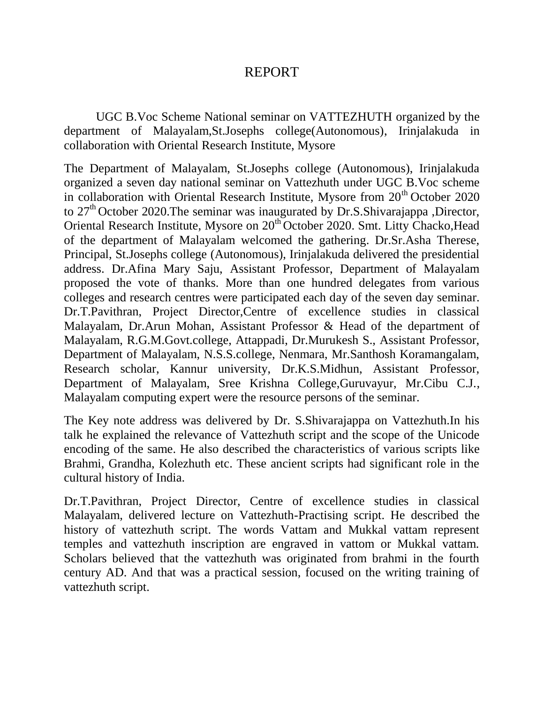# REPORT

UGC B.Voc Scheme National seminar on VATTEZHUTH organized by the department of Malayalam,St.Josephs college(Autonomous), Irinjalakuda in collaboration with Oriental Research Institute, Mysore

The Department of Malayalam, St.Josephs college (Autonomous), Irinjalakuda organized a seven day national seminar on Vattezhuth under UGC B.Voc scheme in collaboration with Oriental Research Institute, Mysore from  $20<sup>th</sup>$  October 2020 to 27<sup>th</sup> October 2020. The seminar was inaugurated by Dr.S. Shivarajappa , Director, Oriental Research Institute, Mysore on 20<sup>th</sup> October 2020. Smt. Litty Chacko, Head of the department of Malayalam welcomed the gathering. Dr.Sr.Asha Therese, Principal, St.Josephs college (Autonomous), Irinjalakuda delivered the presidential address. Dr.Afina Mary Saju, Assistant Professor, Department of Malayalam proposed the vote of thanks. More than one hundred delegates from various colleges and research centres were participated each day of the seven day seminar. Dr.T.Pavithran, Project Director,Centre of excellence studies in classical Malayalam, Dr.Arun Mohan, Assistant Professor & Head of the department of Malayalam, R.G.M.Govt.college, Attappadi, Dr.Murukesh S., Assistant Professor, Department of Malayalam, N.S.S.college, Nenmara, Mr.Santhosh Koramangalam, Research scholar, Kannur university, Dr.K.S.Midhun, Assistant Professor, Department of Malayalam, Sree Krishna College,Guruvayur, Mr.Cibu C.J., Malayalam computing expert were the resource persons of the seminar.

The Key note address was delivered by Dr. S.Shivarajappa on Vattezhuth.In his talk he explained the relevance of Vattezhuth script and the scope of the Unicode encoding of the same. He also described the characteristics of various scripts like Brahmi, Grandha, Kolezhuth etc. These ancient scripts had significant role in the cultural history of India.

Dr.T.Pavithran, Project Director, Centre of excellence studies in classical Malayalam, delivered lecture on Vattezhuth-Practising script. He described the history of vattezhuth script. The words Vattam and Mukkal vattam represent temples and vattezhuth inscription are engraved in vattom or Mukkal vattam. Scholars believed that the vattezhuth was originated from brahmi in the fourth century AD. And that was a practical session, focused on the writing training of vattezhuth script.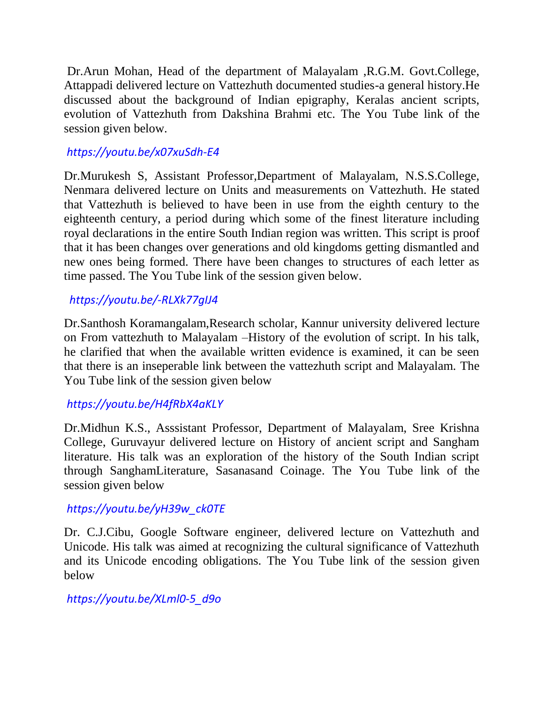Dr.Arun Mohan, Head of the department of Malayalam ,R.G.M. Govt.College, Attappadi delivered lecture on Vattezhuth documented studies-a general history.He discussed about the background of Indian epigraphy, Keralas ancient scripts, evolution of Vattezhuth from Dakshina Brahmi etc. The You Tube link of the session given below.

## *<https://youtu.be/x07xuSdh-E4>*

Dr.Murukesh S, Assistant Professor,Department of Malayalam, N.S.S.College, Nenmara delivered lecture on Units and measurements on Vattezhuth. He stated that Vattezhuth is believed to have been in use from the eighth century to the eighteenth century, a period during which some of the finest literature including royal declarations in the entire South Indian region was written. This script is proof that it has been changes over generations and old kingdoms getting dismantled and new ones being formed. There have been changes to structures of each letter as time passed. The You Tube link of the session given below.

### *<https://youtu.be/-RLXk77gIJ4>*

Dr.Santhosh Koramangalam,Research scholar, Kannur university delivered lecture on From vattezhuth to Malayalam –History of the evolution of script. In his talk, he clarified that when the available written evidence is examined, it can be seen that there is an inseperable link between the vattezhuth script and Malayalam. The You Tube link of the session given below

### *<https://youtu.be/H4fRbX4aKLY>*

Dr.Midhun K.S., Asssistant Professor, Department of Malayalam, Sree Krishna College, Guruvayur delivered lecture on History of ancient script and Sangham literature. His talk was an exploration of the history of the South Indian script through SanghamLiterature, Sasanasand Coinage. The You Tube link of the session given below

### *[https://youtu.be/yH39w\\_ck0TE](https://youtu.be/yH39w_ck0TE)*

Dr. C.J.Cibu, Google Software engineer, delivered lecture on Vattezhuth and Unicode. His talk was aimed at recognizing the cultural significance of Vattezhuth and its Unicode encoding obligations. The You Tube link of the session given below

#### *[https://youtu.be/XLml0-5\\_d9o](https://youtu.be/XLml0-5_d9o)*